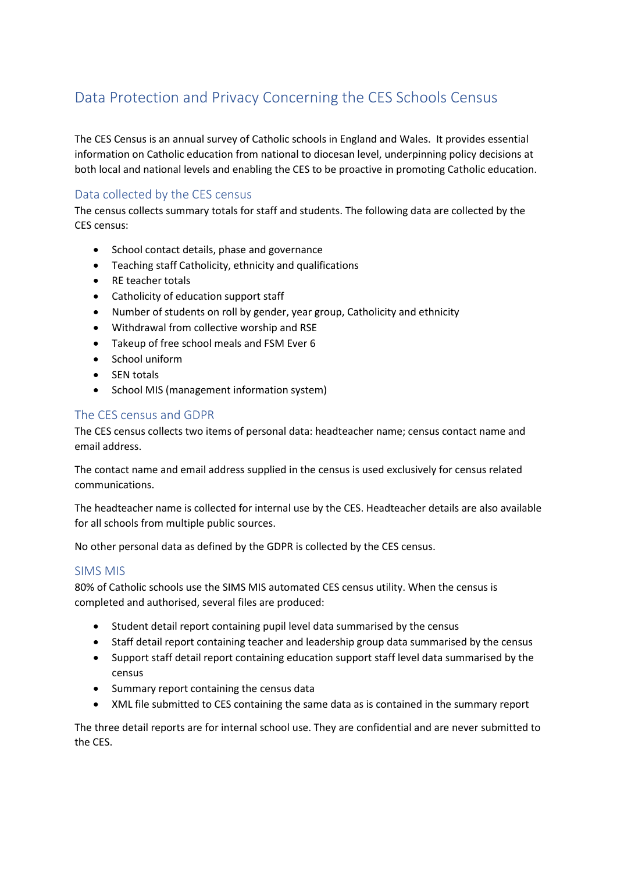# Data Protection and Privacy Concerning the CES Schools Census

The CES Census is an annual survey of Catholic schools in England and Wales. It provides essential information on Catholic education from national to diocesan level, underpinning policy decisions at both local and national levels and enabling the CES to be proactive in promoting Catholic education.

# Data collected by the CES census

The census collects summary totals for staff and students. The following data are collected by the CES census:

- School contact details, phase and governance
- Teaching staff Catholicity, ethnicity and qualifications
- RE teacher totals
- Catholicity of education support staff
- Number of students on roll by gender, year group, Catholicity and ethnicity
- Withdrawal from collective worship and RSE
- Takeup of free school meals and FSM Ever 6
- School uniform
- SEN totals
- School MIS (management information system)

# The CES census and GDPR

The CES census collects two items of personal data: headteacher name; census contact name and email address.

The contact name and email address supplied in the census is used exclusively for census related communications.

The headteacher name is collected for internal use by the CES. Headteacher details are also available for all schools from multiple public sources.

No other personal data as defined by the GDPR is collected by the CES census.

#### SIMS MIS

80% of Catholic schools use the SIMS MIS automated CES census utility. When the census is completed and authorised, several files are produced:

- Student detail report containing pupil level data summarised by the census
- Staff detail report containing teacher and leadership group data summarised by the census
- Support staff detail report containing education support staff level data summarised by the census
- Summary report containing the census data
- XML file submitted to CES containing the same data as is contained in the summary report

The three detail reports are for internal school use. They are confidential and are never submitted to the CES.